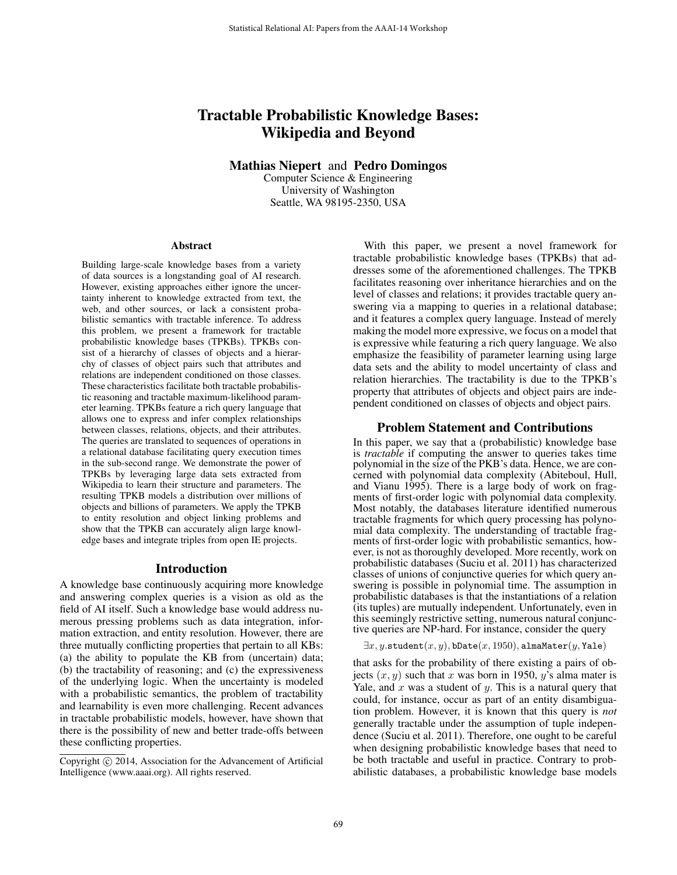# Tractable Probabilistic Knowledge Bases: Wikipedia and Beyond

Mathias Niepert and Pedro Domingos

Computer Science & Engineering University of Washington Seattle, WA 98195-2350, USA

#### Abstract

Building large-scale knowledge bases from a variety of data sources is a longstanding goal of AI research. However, existing approaches either ignore the uncertainty inherent to knowledge extracted from text, the web, and other sources, or lack a consistent probabilistic semantics with tractable inference. To address this problem, we present a framework for tractable probabilistic knowledge bases (TPKBs). TPKBs consist of a hierarchy of classes of objects and a hierarchy of classes of object pairs such that attributes and relations are independent conditioned on those classes. These characteristics facilitate both tractable probabilistic reasoning and tractable maximum-likelihood parameter learning. TPKBs feature a rich query language that allows one to express and infer complex relationships between classes, relations, objects, and their attributes. The queries are translated to sequences of operations in a relational database facilitating query execution times in the sub-second range. We demonstrate the power of TPKBs by leveraging large data sets extracted from Wikipedia to learn their structure and parameters. The resulting TPKB models a distribution over millions of objects and billions of parameters. We apply the TPKB to entity resolution and object linking problems and show that the TPKB can accurately align large knowledge bases and integrate triples from open IE projects.

#### Introduction

A knowledge base continuously acquiring more knowledge and answering complex queries is a vision as old as the field of AI itself. Such a knowledge base would address numerous pressing problems such as data integration, information extraction, and entity resolution. However, there are three mutually conflicting properties that pertain to all KBs: (a) the ability to populate the KB from (uncertain) data; (b) the tractability of reasoning; and (c) the expressiveness of the underlying logic. When the uncertainty is modeled with a probabilistic semantics, the problem of tractability and learnability is even more challenging. Recent advances in tractable probabilistic models, however, have shown that there is the possibility of new and better trade-offs between these conflicting properties.

With this paper, we present a novel framework for tractable probabilistic knowledge bases (TPKBs) that addresses some of the aforementioned challenges. The TPKB facilitates reasoning over inheritance hierarchies and on the level of classes and relations; it provides tractable query answering via a mapping to queries in a relational database; and it features a complex query language. Instead of merely making the model more expressive, we focus on a model that is expressive while featuring a rich query language. We also emphasize the feasibility of parameter learning using large data sets and the ability to model uncertainty of class and relation hierarchies. The tractability is due to the TPKB's property that attributes of objects and object pairs are independent conditioned on classes of objects and object pairs.

## Problem Statement and Contributions

In this paper, we say that a (probabilistic) knowledge base is *tractable* if computing the answer to queries takes time polynomial in the size of the PKB's data. Hence, we are concerned with polynomial data complexity (Abiteboul, Hull, and Vianu 1995). There is a large body of work on fragments of first-order logic with polynomial data complexity. Most notably, the databases literature identified numerous tractable fragments for which query processing has polynomial data complexity. The understanding of tractable fragments of first-order logic with probabilistic semantics, however, is not as thoroughly developed. More recently, work on probabilistic databases (Suciu et al. 2011) has characterized classes of unions of conjunctive queries for which query answering is possible in polynomial time. The assumption in probabilistic databases is that the instantiations of a relation (its tuples) are mutually independent. Unfortunately, even in this seemingly restrictive setting, numerous natural conjunctive queries are NP-hard. For instance, consider the query

 $\exists x, y$ .student $(x, y)$ , bDate $(x, 1950)$ , almaMater $(y,$ Yale)

that asks for the probability of there existing a pairs of objects  $(x, y)$  such that x was born in 1950, y's alma mater is Yale, and  $x$  was a student of  $y$ . This is a natural query that could, for instance, occur as part of an entity disambiguation problem. However, it is known that this query is *not* generally tractable under the assumption of tuple independence (Suciu et al. 2011). Therefore, one ought to be careful when designing probabilistic knowledge bases that need to be both tractable and useful in practice. Contrary to probabilistic databases, a probabilistic knowledge base models

Copyright (c) 2014, Association for the Advancement of Artificial Intelligence (www.aaai.org). All rights reserved.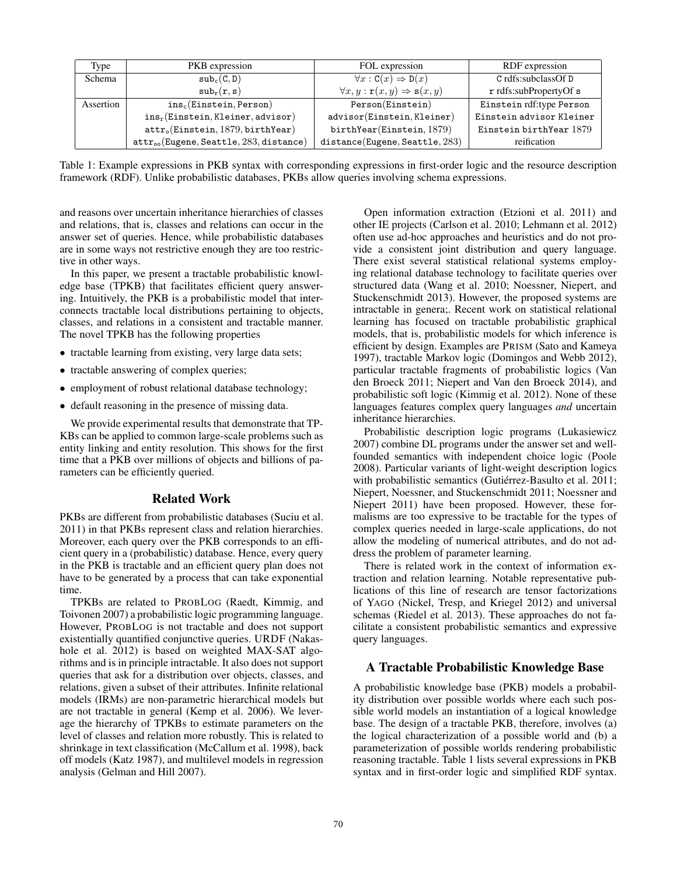| Type      | PKB expression                               | FOL expression                                                 | RDF expression           |
|-----------|----------------------------------------------|----------------------------------------------------------------|--------------------------|
| Schema    | sub <sub>c</sub> (C, D)                      | $\forall x : \mathtt{C}(x) \Rightarrow \mathtt{D}(x)$          | C rdfs:subclassOf D      |
|           | $\text{sub}_{r}(r,s)$                        | $\forall x, y : \mathbf{r}(x, y) \Rightarrow \mathbf{s}(x, y)$ | r rdfs:subPropertyOf s   |
| Assertion | $ins_c(Einstein, Person)$                    | Person(Einstein)                                               | Einstein rdf:type Person |
|           | $ins_r(Einstein, Kleiner, advisor)$          | advisor(Einstein, Kleiner)                                     | Einstein advisor Kleiner |
|           | $attro(Einstein, 1879, birthYear)$           | birthYear(Einstein, 1879)                                      | Einstein birthYear 1879  |
|           | $attr_{oo}$ (Eugene, Seattle, 283, distance) | distance(Eugene, Seattle, 283)                                 | reification              |

Table 1: Example expressions in PKB syntax with corresponding expressions in first-order logic and the resource description framework (RDF). Unlike probabilistic databases, PKBs allow queries involving schema expressions.

and reasons over uncertain inheritance hierarchies of classes and relations, that is, classes and relations can occur in the answer set of queries. Hence, while probabilistic databases are in some ways not restrictive enough they are too restrictive in other ways.

In this paper, we present a tractable probabilistic knowledge base (TPKB) that facilitates efficient query answering. Intuitively, the PKB is a probabilistic model that interconnects tractable local distributions pertaining to objects, classes, and relations in a consistent and tractable manner. The novel TPKB has the following properties

- tractable learning from existing, very large data sets;
- tractable answering of complex queries;
- employment of robust relational database technology;
- default reasoning in the presence of missing data.

We provide experimental results that demonstrate that TP-KBs can be applied to common large-scale problems such as entity linking and entity resolution. This shows for the first time that a PKB over millions of objects and billions of parameters can be efficiently queried.

# Related Work

PKBs are different from probabilistic databases (Suciu et al. 2011) in that PKBs represent class and relation hierarchies. Moreover, each query over the PKB corresponds to an efficient query in a (probabilistic) database. Hence, every query in the PKB is tractable and an efficient query plan does not have to be generated by a process that can take exponential time.

TPKBs are related to PROBLOG (Raedt, Kimmig, and Toivonen 2007) a probabilistic logic programming language. However, PROBLOG is not tractable and does not support existentially quantified conjunctive queries. URDF (Nakashole et al. 2012) is based on weighted MAX-SAT algorithms and is in principle intractable. It also does not support queries that ask for a distribution over objects, classes, and relations, given a subset of their attributes. Infinite relational models (IRMs) are non-parametric hierarchical models but are not tractable in general (Kemp et al. 2006). We leverage the hierarchy of TPKBs to estimate parameters on the level of classes and relation more robustly. This is related to shrinkage in text classification (McCallum et al. 1998), back off models (Katz 1987), and multilevel models in regression analysis (Gelman and Hill 2007).

Open information extraction (Etzioni et al. 2011) and other IE projects (Carlson et al. 2010; Lehmann et al. 2012) often use ad-hoc approaches and heuristics and do not provide a consistent joint distribution and query language. There exist several statistical relational systems employing relational database technology to facilitate queries over structured data (Wang et al. 2010; Noessner, Niepert, and Stuckenschmidt 2013). However, the proposed systems are intractable in genera;. Recent work on statistical relational learning has focused on tractable probabilistic graphical models, that is, probabilistic models for which inference is efficient by design. Examples are PRISM (Sato and Kameya 1997), tractable Markov logic (Domingos and Webb 2012), particular tractable fragments of probabilistic logics (Van den Broeck 2011; Niepert and Van den Broeck 2014), and probabilistic soft logic (Kimmig et al. 2012). None of these languages features complex query languages *and* uncertain inheritance hierarchies.

Probabilistic description logic programs (Lukasiewicz 2007) combine DL programs under the answer set and wellfounded semantics with independent choice logic (Poole 2008). Particular variants of light-weight description logics with probabilistic semantics (Gutiérrez-Basulto et al. 2011; Niepert, Noessner, and Stuckenschmidt 2011; Noessner and Niepert 2011) have been proposed. However, these formalisms are too expressive to be tractable for the types of complex queries needed in large-scale applications, do not allow the modeling of numerical attributes, and do not address the problem of parameter learning.

There is related work in the context of information extraction and relation learning. Notable representative publications of this line of research are tensor factorizations of YAGO (Nickel, Tresp, and Kriegel 2012) and universal schemas (Riedel et al. 2013). These approaches do not facilitate a consistent probabilistic semantics and expressive query languages.

# A Tractable Probabilistic Knowledge Base

A probabilistic knowledge base (PKB) models a probability distribution over possible worlds where each such possible world models an instantiation of a logical knowledge base. The design of a tractable PKB, therefore, involves (a) the logical characterization of a possible world and (b) a parameterization of possible worlds rendering probabilistic reasoning tractable. Table 1 lists several expressions in PKB syntax and in first-order logic and simplified RDF syntax.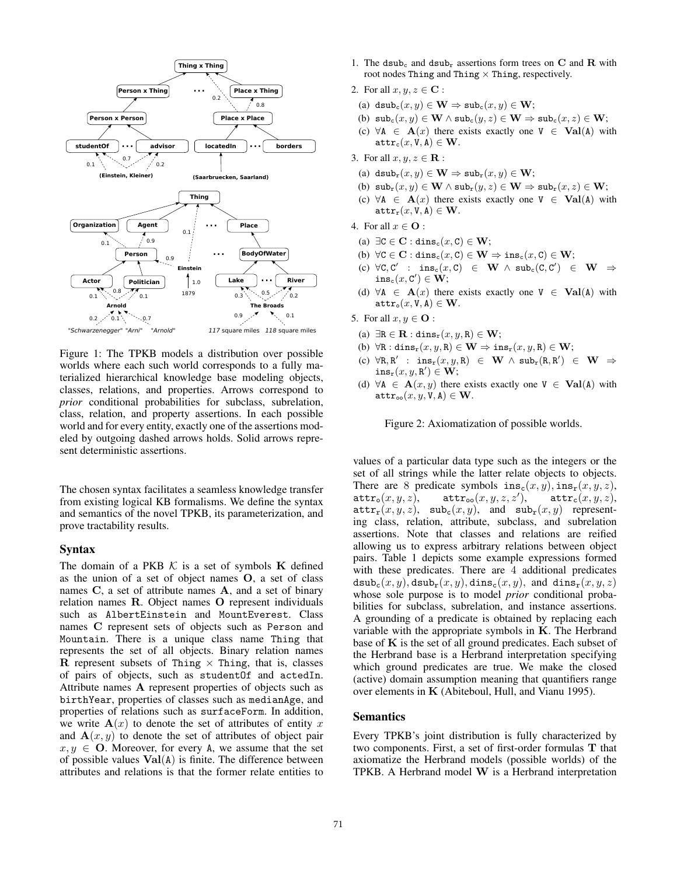

Figure 1: The TPKB models a distribution over possible worlds where each such world corresponds to a fully materialized hierarchical knowledge base modeling objects, classes, relations, and properties. Arrows correspond to *prior* conditional probabilities for subclass, subrelation, class, relation, and property assertions. In each possible world and for every entity, exactly one of the assertions modeled by outgoing dashed arrows holds. Solid arrows represent deterministic assertions.

The chosen syntax facilitates a seamless knowledge transfer from existing logical KB formalisms. We define the syntax and semantics of the novel TPKB, its parameterization, and prove tractability results.

#### Syntax

The domain of a PKB  $K$  is a set of symbols  $K$  defined as the union of a set of object names O, a set of class names C, a set of attribute names A, and a set of binary relation names R. Object names O represent individuals such as AlbertEinstein and MountEverest. Class names C represent sets of objects such as Person and Mountain. There is a unique class name Thing that represents the set of all objects. Binary relation names R represent subsets of Thing  $\times$  Thing, that is, classes of pairs of objects, such as studentOf and actedIn. Attribute names A represent properties of objects such as birthYear, properties of classes such as medianAge, and properties of relations such as surfaceForm. In addition, we write  $A(x)$  to denote the set of attributes of entity x and  $A(x, y)$  to denote the set of attributes of object pair  $x, y \in \mathbf{O}$ . Moreover, for every A, we assume that the set of possible values  $Val(A)$  is finite. The difference between attributes and relations is that the former relate entities to

- 1. The dsub<sub>c</sub> and dsub<sub>r</sub> assertions form trees on C and R with root nodes Thing and Thing  $\times$  Thing, respectively.
- 2. For all  $x, y, z \in \mathbf{C}$ :
	- (a) dsub<sub>c</sub> $(x, y) \in \mathbf{W} \Rightarrow \text{sub}_c(x, y) \in \mathbf{W}$ ;
	- (b)  $\text{sub}_c(x, y) \in \mathbf{W} \wedge \text{sub}_c(y, z) \in \mathbf{W} \Rightarrow \text{sub}_c(x, z) \in \mathbf{W}$ ;
	- (c)  $\forall A \in \mathbf{A}(x)$  there exists exactly one  $V \in \mathbf{Val}(A)$  with  $\texttt{attr}_c(x, V, A) \in W$ .
- 3. For all  $x, y, z \in \mathbf{R}$ :
	- (a) dsub<sub>r</sub> $(x, y) \in W \Rightarrow \text{sub}_r(x, y) \in W;$
	- (b)  $\text{sub}_{\mathbf{r}}(x, y) \in \mathbf{W} \wedge \text{sub}_{\mathbf{r}}(y, z) \in \mathbf{W} \Rightarrow \text{sub}_{\mathbf{r}}(x, z) \in \mathbf{W}$ ;
	- (c)  $∀A ∈ A(x)$  there exists exactly one  $V ∈ \textbf{Val}(A)$  with  $\texttt{attr}_{\texttt{r}}(x, \texttt{V}, \texttt{A}) \in \textbf{W}.$
- 4. For all  $x \in \mathbf{O}$ :
	- (a)  $\exists C \in \mathbf{C} : \text{dins}_{c}(x, C) \in \mathbf{W};$
	- (b)  $\forall C \in \mathbf{C} : \text{dins}_{c}(x, C) \in \mathbf{W} \Rightarrow \text{ins}_{c}(x, C) \in \mathbf{W};$
	- $(\mathsf{c}) \ \ \forall \mathsf{C}, \mathsf{C}' \ : \ \ \mathtt{ins}_\mathsf{c}(x, \mathsf{C}) \ \ \in \ \ \mathbf{W} \ \land \ \mathtt{sub}_\mathsf{c}(\mathsf{C}, \mathsf{C}') \ \ \in \ \ \mathbf{W} \ \ \Rightarrow$  $\mathtt{ins}_{\mathtt{c}}(x,\mathtt{C}')\in\dot{\mathbf{W}};$
	- (d)  $\forall A \in A(x)$  there exists exactly one  $V \in \text{Val}(A)$  with  $\texttt{attr}_{\texttt{o}}(x, \texttt{V}, \texttt{A}) \in \textbf{W}.$
- 5. For all  $x, y \in \mathbf{O}$ :
- (a)  $\exists R \in \mathbf{R} : \text{dins}_r(x, y, R) \in \mathbf{W};$
- (b)  $\forall R : \text{dins}_r(x, y, R) \in W \Rightarrow \text{ins}_r(x, y, R) \in W;$
- $(c) \forall R, R' : ins_r(x, y, R) \in W \wedge sub_r(R, R') \in W \Rightarrow$  $\mathtt{ins_r}(x, y, \mathtt{R}') \in \mathbf{W};$
- (d)  $\forall A \in \mathbf{A}(x, y)$  there exists exactly one  $V \in \mathbf{Val}(A)$  with  $\texttt{attr}_{\text{oo}}(x, y, V, A) \in \mathbf{W}.$

Figure 2: Axiomatization of possible worlds.

values of a particular data type such as the integers or the set of all strings while the latter relate objects to objects. There are 8 predicate symbols  $ins_c(x, y)$ ,  $ins_r(x, y, z)$ ,  $\texttt{attr}_{\texttt{o}}(x, y, z), \quad \texttt{attr}_{\texttt{oo}}(x, y, z, z'),$  $\texttt{attr}_c(x, y, z),$  $\texttt{attr}_{r}(x, y, z)$ ,  $\texttt{sub}_{c}(x, y)$ , and  $\texttt{sub}_{r}(x, y)$  representing class, relation, attribute, subclass, and subrelation assertions. Note that classes and relations are reified allowing us to express arbitrary relations between object pairs. Table 1 depicts some example expressions formed with these predicates. There are 4 additional predicates  $dsub<sub>c</sub>(x, y)$ ,  $dsub<sub>r</sub>(x, y)$ ,  $dins<sub>c</sub>(x, y)$ , and  $dins<sub>r</sub>(x, y, z)$ whose sole purpose is to model *prior* conditional probabilities for subclass, subrelation, and instance assertions. A grounding of a predicate is obtained by replacing each variable with the appropriate symbols in  $K$ . The Herbrand base of  $K$  is the set of all ground predicates. Each subset of the Herbrand base is a Herbrand interpretation specifying which ground predicates are true. We make the closed (active) domain assumption meaning that quantifiers range over elements in K (Abiteboul, Hull, and Vianu 1995).

#### Semantics

Every TPKB's joint distribution is fully characterized by two components. First, a set of first-order formulas T that axiomatize the Herbrand models (possible worlds) of the TPKB. A Herbrand model W is a Herbrand interpretation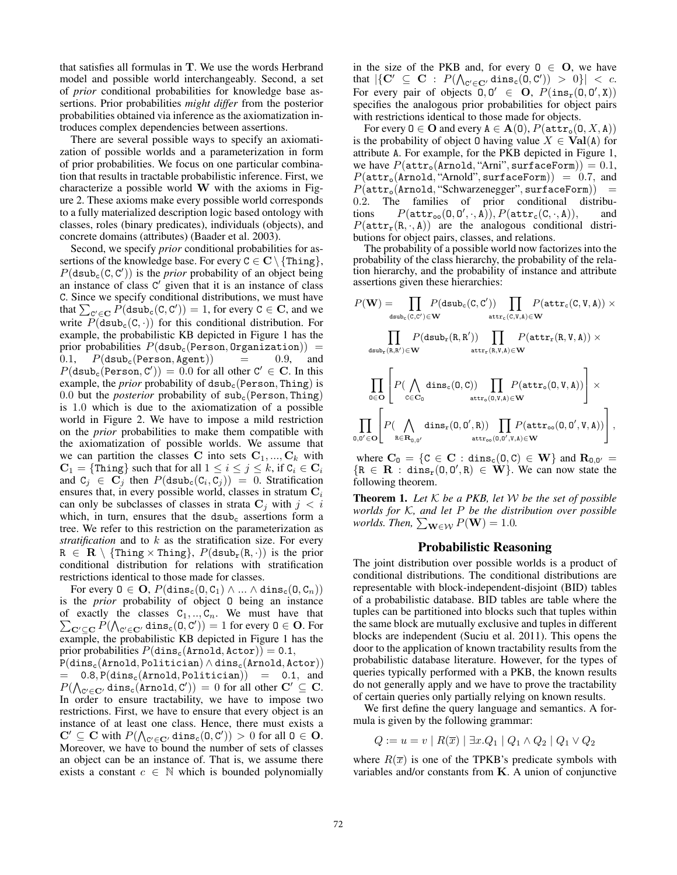that satisfies all formulas in T. We use the words Herbrand model and possible world interchangeably. Second, a set of *prior* conditional probabilities for knowledge base assertions. Prior probabilities *might differ* from the posterior probabilities obtained via inference as the axiomatization introduces complex dependencies between assertions.

There are several possible ways to specify an axiomatization of possible worlds and a parameterization in form of prior probabilities. We focus on one particular combination that results in tractable probabilistic inference. First, we characterize a possible world  $W$  with the axioms in Figure 2. These axioms make every possible world corresponds to a fully materialized description logic based ontology with classes, roles (binary predicates), individuals (objects), and concrete domains (attributes) (Baader et al. 2003).

Second, we specify *prior* conditional probabilities for assertions of the knowledge base. For every  $C \in \mathbf{C} \setminus \{\text{thing}\},\$  $P$ (dsub<sub>c</sub>(C, C')) is the *prior* probability of an object being an instance of class  $C'$  given that it is an instance of class C. Since we specify conditional distributions, we must have that  $\sum_{C' \in \mathbf{C}} P(\text{dsub}_c(C, C')) = 1$ , for every  $C \in \mathbf{C}$ , and we write  $P$ (dsub<sub>c</sub>(C, ·)) for this conditional distribution. For example, the probabilistic KB depicted in Figure 1 has the prior probabilities  $P(dsub<sub>c</sub>(Person, Organization)) = 0.1, P(dsub<sub>c</sub>(Person, Agent)) = 0.9, and$  $P(dsub<sub>c</sub>(Person, Agent)) = 0.9, and$  $P(\text{dsub}_c(\text{Person}, C')) = 0.0$  for all other  $C' \in \mathbf{C}$ . In this example, the *prior* probability of dsub<sub>c</sub>(Person, Thing) is 0.0 but the *posterior* probability of  $sub<sub>c</sub>$  (Person, Thing) is 1.0 which is due to the axiomatization of a possible world in Figure 2. We have to impose a mild restriction on the *prior* probabilities to make them compatible with the axiomatization of possible worlds. We assume that we can partition the classes C into sets  $C_1, ..., C_k$  with  $C_1 = \{\text{Third}\}$  such that for all  $1 \leq i \leq j \leq k$ , if  $C_i \in C_i$ and  $C_j \in C_j$  then  $P(\text{dsub}_c(C_i, C_j)) = 0$ . Stratification ensures that, in every possible world, classes in stratum  $C_i$ can only be subclasses of classes in strata  $C_j$  with  $j < i$ which, in turn, ensures that the  $dsub<sub>c</sub>$  assertions form a tree. We refer to this restriction on the parameterization as *stratification* and to k as the stratification size. For every  $R \in \mathbf{R} \setminus \{\text{Things} \times \text{Things}\}, P(\text{dsub}_{r}(R, \cdot))$  is the prior conditional distribution for relations with stratification restrictions identical to those made for classes.

For every  $0 \in \mathbf{O}, P(\text{dins}_c(0, C_1) \wedge ... \wedge \text{dins}_c(0, C_n))$ is the *prior* probability of object O being an instance  $\sum_{\mathbf{C}'\subseteq\mathbf{C}} P(\bigwedge_{\mathbf{C}'\in\mathbf{C}'}\mathtt{dins}_{\mathtt{c}}(\mathtt{0},\mathtt{C}'))=1$  for every  $\mathtt{0}\in\mathbf{O}.$  For of exactly the classes  $C_1, ..., C_n$ . We must have that example, the probabilistic KB depicted in Figure 1 has the prior probabilities  $P(\text{dins}_c(\text{Arnold}, \text{Actor})) = 0.1$ ,  $P(dins_c(Arnold, Politician) \wedge dins_c(Arnold, Actor))$  $0.8, P(dins_c(Arnold, Politician)) = 0.1, and$  $P(\bigwedge_{\mathbf{C}' \in \mathbf{C}'} \mathtt{dins}_{\mathtt{c}}(\mathtt{Arnold},\mathtt{C}')) = 0$  for all other  $\mathbf{C}' \subseteq \mathbf{C}$ . In order to ensure tractability, we have to impose two restrictions. First, we have to ensure that every object is an instance of at least one class. Hence, there must exists a  $\mathbf{C}' \subseteq \mathbf{C}$  with  $P(\bigwedge_{\mathbf{C}' \in \mathbf{C}'} \text{dins}_{\mathbf{C}}(\mathbf{0}, \mathbf{C}')) > 0$  for all  $0 \in \mathbf{O}$ . Moreover, we have to bound the number of sets of classes an object can be an instance of. That is, we assume there exists a constant  $c \in \mathbb{N}$  which is bounded polynomially in the size of the PKB and, for every  $0 \in O$ , we have that  $|\{\mathbf{C}'\ \subseteq\ \mathbf{C}\ :\ P(\textstyle{\bigwedge_{\mathbf{C}'\in\mathbf{C}'}}\,\mathtt{dins}_{\mathtt{c}}(\mathtt{0},\mathtt{C}') )\ >\ 0\}|\ <\ c.$ For every pair of objects  $0, 0' \in O$ ,  $P(\text{ins}_r(0, 0', X))$ specifies the analogous prior probabilities for object pairs with restrictions identical to those made for objects.

For every  $0 \in \mathbf{O}$  and every  $A \in \mathbf{A}(0), P(\text{attr}_{o}(0, X, A))$ is the probability of object 0 having value  $X \in \text{Val}(A)$  for attribute A. For example, for the PKB depicted in Figure 1, we have  $P(\text{attr}_o(\text{Arnold}, \text{'Anni}$ ", surfaceForm $)) = 0.1$ ,  $P(\text{attr}_{\text{o}}(\text{Arnold}, \text{'Arnold}'), \text{surfaceForm})) = 0.7, \text{ and}$  $P(\text{attr}_{\text{o}}(\text{Arnold}, \text{"Schwarzenegger", surfaceForm})) = 0.2$ . The families of prior conditional distribu-The families of prior conditional distributions  $P(\texttt{attr}_{oo}(0,0',\cdot,\hat{A})), P(\texttt{attr}_{c}(C,\cdot,\hat{A})),$  and  $P(\text{attr}_{r}(\text{R}, \cdot, \text{A}))$  are the analogous conditional distributions for object pairs, classes, and relations.

The probability of a possible world now factorizes into the probability of the class hierarchy, the probability of the relation hierarchy, and the probability of instance and attribute assertions given these hierarchies:

$$
P(\mathbf{W}) = \prod_{\text{dsub}_c(G, C') \in \mathbf{W}} P(\text{dsub}_c(C, C')) \prod_{\text{attr}_c(G, V, A) \in \mathbf{W}} P(\text{attr}_c(C, V, A)) \times \\ \prod_{\text{dsub}_r(R, R') \in \mathbf{W}} P(\text{dsub}_r(R, R')) \prod_{\text{attr}_r(R, V, A) \in \mathbf{W}} P(\text{attr}_r(R, V, A)) \times \\ \prod_{0 \in \mathbf{O}} \left[ P(\bigwedge_{c \in \mathbf{C}_0} \text{dins}_c(0, C)) \prod_{\text{attr}_o(0, V, A) \in \mathbf{W}} P(\text{attr}_o(0, V, A)) \right] \times \\ \prod_{0, 0' \in \mathbf{O}} \left[ P(\bigwedge_{R \in \mathbf{R}_{0, 0'}} \text{dins}_r(0, 0', R)) \prod_{\text{attr}_o(0, 0', V, A) \in \mathbf{W}} P(\text{attr}_{oo}(0, 0', V, A)) \right],
$$

where  $\mathbf{C}_0 = \{ C \in \mathbf{C} : \text{dins}_c(0, C) \in \mathbf{W} \}$  and  $\mathbf{R}_{0,0'} =$  ${R \in \mathbf{R} : \text{dins}_r(0,0',R) \in \mathbf{W}}$ . We can now state the following theorem.

Theorem 1. *Let* K *be a PKB, let* W *be the set of possible worlds for* K*, and let* P *be the distribution over possible worlds. Then,*  $\sum_{\mathbf{W}\in\mathcal{W}} P(\mathbf{W}) = 1.0$ .

### Probabilistic Reasoning

The joint distribution over possible worlds is a product of conditional distributions. The conditional distributions are representable with block-independent-disjoint (BID) tables of a probabilistic database. BID tables are table where the tuples can be partitioned into blocks such that tuples within the same block are mutually exclusive and tuples in different blocks are independent (Suciu et al. 2011). This opens the door to the application of known tractability results from the probabilistic database literature. However, for the types of queries typically performed with a PKB, the known results do not generally apply and we have to prove the tractability of certain queries only partially relying on known results.

We first define the query language and semantics. A formula is given by the following grammar:

$$
Q := u = v | R(\overline{x}) | \exists x . Q_1 | Q_1 \wedge Q_2 | Q_1 \vee Q_2
$$

where  $R(\overline{x})$  is one of the TPKB's predicate symbols with variables and/or constants from  $K$ . A union of conjunctive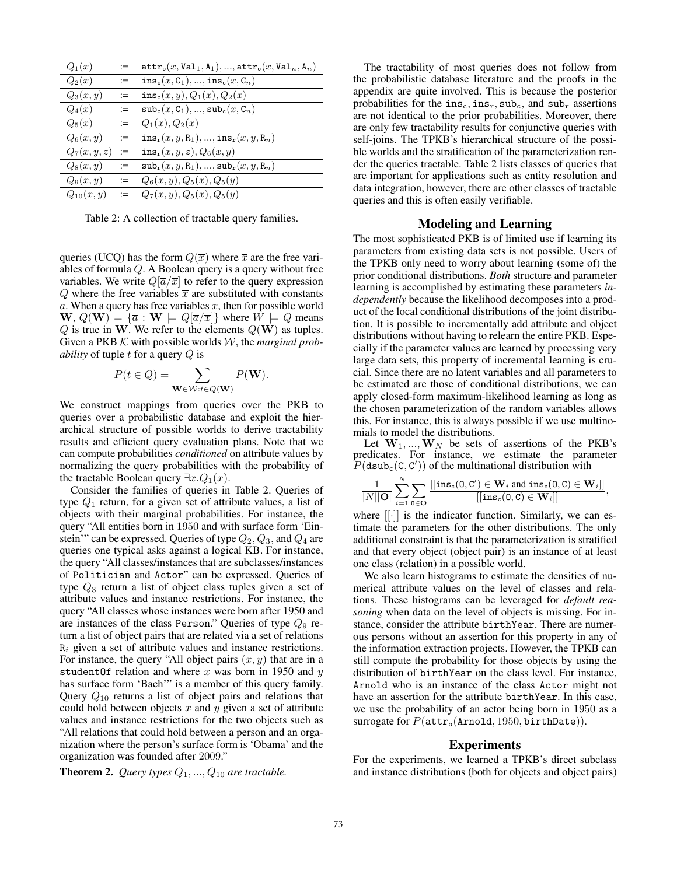| $Q_1(x)$       | $:=$ | $\texttt{attr}_{\circ}(x, \texttt{Val}_1, \texttt{A}_1), , \texttt{attr}_{\circ}(x, \texttt{Val}_n, \texttt{A}_n)$ |
|----------------|------|--------------------------------------------------------------------------------------------------------------------|
| $Q_2(x)$       | $:=$ | $ins_c(x, C_1), , ins_c(x, C_n)$                                                                                   |
| $Q_3(x,y)$     | $:=$ | $ins_c(x, y), Q_1(x), Q_2(x)$                                                                                      |
| $Q_4(x)$       | $:=$ | $\mathsf{sub}_c(x, C_1), , \mathsf{sub}_c(x, C_n)$                                                                 |
| $Q_5(x)$       | $:=$ | $Q_1(x), Q_2(x)$                                                                                                   |
| $Q_6(x,y)$     | $:=$ | $ins_r(x, y, R_1), , ins_r(x, y, R_n)$                                                                             |
| $Q_7(x,y,z)$   | $:=$ | $ins_r(x, y, z), Q_6(x, y)$                                                                                        |
| $Q_8(x,y)$     | $:=$ | $\texttt{sub}_r(x, y, R_1), , \texttt{sub}_r(x, y, R_n)$                                                           |
| $Q_9(x,y)$     | $:=$ | $Q_6(x, y), Q_5(x), Q_5(y)$                                                                                        |
| $Q_{10}(x, y)$ | $:=$ | $Q_7(x, y), Q_5(x), Q_5(y)$                                                                                        |

Table 2: A collection of tractable query families.

queries (UCQ) has the form  $Q(\overline{x})$  where  $\overline{x}$  are the free variables of formula Q. A Boolean query is a query without free variables. We write  $Q[\overline{a}/\overline{x}]$  to refer to the query expression Q where the free variables  $\bar{x}$  are substituted with constants  $\overline{a}$ . When a query has free variables  $\overline{x}$ , then for possible world  $\mathbf{W}, Q(\mathbf{W}) = {\overline{a} : \mathbf{W} \models Q[\overline{a}/\overline{x}]}$  where  $W \models Q$  means  $Q$  is true in W. We refer to the elements  $Q(\mathbf{W})$  as tuples. Given a PKB K with possible worlds W, the *marginal probability* of tuple t for a query Q is

$$
P(t \in Q) = \sum_{\mathbf{W} \in \mathcal{W}: t \in Q(\mathbf{W})} P(\mathbf{W}).
$$

We construct mappings from queries over the PKB to queries over a probabilistic database and exploit the hierarchical structure of possible worlds to derive tractability results and efficient query evaluation plans. Note that we can compute probabilities *conditioned* on attribute values by normalizing the query probabilities with the probability of the tractable Boolean query  $\exists x . Q_1(x)$ .

Consider the families of queries in Table 2. Queries of type  $Q_1$  return, for a given set of attribute values, a list of objects with their marginal probabilities. For instance, the query "All entities born in 1950 and with surface form 'Einstein'" can be expressed. Queries of type  $Q_2, Q_3$ , and  $Q_4$  are queries one typical asks against a logical KB. For instance, the query "All classes/instances that are subclasses/instances of Politician and Actor" can be expressed. Queries of type  $Q_3$  return a list of object class tuples given a set of attribute values and instance restrictions. For instance, the query "All classes whose instances were born after 1950 and are instances of the class Person." Queries of type  $Q_9$  return a list of object pairs that are related via a set of relations  $R_i$  given a set of attribute values and instance restrictions. For instance, the query "All object pairs  $(x, y)$  that are in a studentOf relation and where  $x$  was born in 1950 and  $y$ has surface form 'Bach'" is a member of this query family. Query  $Q_{10}$  returns a list of object pairs and relations that could hold between objects x and y given a set of attribute values and instance restrictions for the two objects such as "All relations that could hold between a person and an organization where the person's surface form is 'Obama' and the organization was founded after 2009."

**Theorem 2.** *Query types*  $Q_1, ..., Q_{10}$  *are tractable.* 

The tractability of most queries does not follow from the probabilistic database literature and the proofs in the appendix are quite involved. This is because the posterior probabilities for the  $ins_c, ins_r, sub_c,$  and  $sub_r$  assertions are not identical to the prior probabilities. Moreover, there are only few tractability results for conjunctive queries with self-joins. The TPKB's hierarchical structure of the possible worlds and the stratification of the parameterization render the queries tractable. Table 2 lists classes of queries that are important for applications such as entity resolution and data integration, however, there are other classes of tractable queries and this is often easily verifiable.

## Modeling and Learning

The most sophisticated PKB is of limited use if learning its parameters from existing data sets is not possible. Users of the TPKB only need to worry about learning (some of) the prior conditional distributions. *Both* structure and parameter learning is accomplished by estimating these parameters *independently* because the likelihood decomposes into a product of the local conditional distributions of the joint distribution. It is possible to incrementally add attribute and object distributions without having to relearn the entire PKB. Especially if the parameter values are learned by processing very large data sets, this property of incremental learning is crucial. Since there are no latent variables and all parameters to be estimated are those of conditional distributions, we can apply closed-form maximum-likelihood learning as long as the chosen parameterization of the random variables allows this. For instance, this is always possible if we use multinomials to model the distributions.

Let  $W_1, ..., W_N$  be sets of assertions of the PKB's predicates. For instance, we estimate the parameter  $P(\text{dsub}_c(C, C'))$  of the multinational distribution with

$$
\frac{1}{|N||\mathbf{O}|}\sum_{i=1}^{N}\sum_{\mathbf{0}\in\mathbf{O}}\frac{[[\mathrm{ins}_{\mathtt{c}}(\mathbf{0},\mathbf{C}')\in\mathbf{W}_i\textrm{ and }\mathrm{ins}_{\mathtt{c}}(\mathbf{0},\mathbf{C})\in\mathbf{W}_i]]}{[[\mathrm{ins}_{\mathtt{c}}(\mathbf{0},\mathbf{C})\in\mathbf{W}_i]]},
$$

where  $\left[\left[\cdot\right]\right]$  is the indicator function. Similarly, we can estimate the parameters for the other distributions. The only additional constraint is that the parameterization is stratified and that every object (object pair) is an instance of at least one class (relation) in a possible world.

We also learn histograms to estimate the densities of numerical attribute values on the level of classes and relations. These histograms can be leveraged for *default reasoning* when data on the level of objects is missing. For instance, consider the attribute birthYear. There are numerous persons without an assertion for this property in any of the information extraction projects. However, the TPKB can still compute the probability for those objects by using the distribution of birthYear on the class level. For instance, Arnold who is an instance of the class Actor might not have an assertion for the attribute birthYear. In this case, we use the probability of an actor being born in 1950 as a surrogate for  $P(\text{attr}_o(\text{Arnold}, 1950, \text{birthDate})).$ 

#### Experiments

For the experiments, we learned a TPKB's direct subclass and instance distributions (both for objects and object pairs)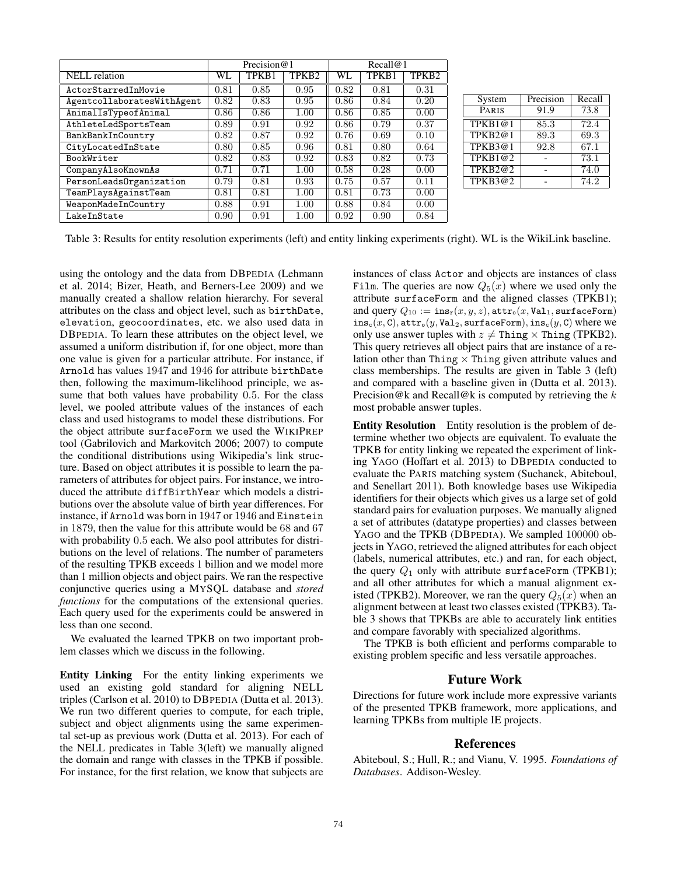|                            | Precision $@1$ |       |                   | Recall@1 |       |                   |
|----------------------------|----------------|-------|-------------------|----------|-------|-------------------|
| <b>NELL</b> relation       | WL             | TPKB1 | TPKB <sub>2</sub> | WL       | TPKB1 | TPKB <sub>2</sub> |
| ActorStarredInMovie        | 0.81           | 0.85  | 0.95              | 0.82     | 0.81  | 0.31              |
| AgentcollaboratesWithAgent | 0.82           | 0.83  | 0.95              | 0.86     | 0.84  | 0.20              |
| AnimalIsTypeofAnimal       | 0.86           | 0.86  | 1.00              | 0.86     | 0.85  | 0.00              |
| AthleteLedSportsTeam       | 0.89           | 0.91  | 0.92              | 0.86     | 0.79  | 0.37              |
| BankBankInCountry          | 0.82           | 0.87  | 0.92              | 0.76     | 0.69  | 0.10              |
| CityLocatedInState         | 0.80           | 0.85  | 0.96              | 0.81     | 0.80  | 0.64              |
| BookWriter                 | 0.82           | 0.83  | 0.92              | 0.83     | 0.82  | 0.73              |
| CompanyAlsoKnownAs         | 0.71           | 0.71  | 1.00              | 0.58     | 0.28  | 0.00              |
| PersonLeadsOrganization    | 0.79           | 0.81  | 0.93              | 0.75     | 0.57  | 0.11              |
| TeamPlaysAgainstTeam       | 0.81           | 0.81  | 1.00              | 0.81     | 0.73  | 0.00              |
| WeaponMadeInCountry        | 0.88           | 0.91  | 1.00              | 0.88     | 0.84  | 0.00              |
| LakeInState                | 0.90           | 0.91  | 1.00              | 0.92     | 0.90  | 0.84              |

| System  | Precision | Recall |  |
|---------|-----------|--------|--|
| PARIS   | 91.9      | 73.8   |  |
| TPKB1@1 | 85.3      | 72.4   |  |
| TPKB2@1 | 89.3      | 69.3   |  |
| TPKB3@1 | 92.8      | 67.1   |  |
| TPKB1@2 |           | 73.1   |  |
| TPKB2@2 |           | 74.0   |  |
| TFKB3@2 |           | 74.2   |  |

Table 3: Results for entity resolution experiments (left) and entity linking experiments (right). WL is the WikiLink baseline.

using the ontology and the data from DBPEDIA (Lehmann et al. 2014; Bizer, Heath, and Berners-Lee 2009) and we manually created a shallow relation hierarchy. For several attributes on the class and object level, such as birthDate, elevation, geocoordinates, etc. we also used data in DBPEDIA. To learn these attributes on the object level, we assumed a uniform distribution if, for one object, more than one value is given for a particular attribute. For instance, if Arnold has values 1947 and 1946 for attribute birthDate then, following the maximum-likelihood principle, we assume that both values have probability 0.5. For the class level, we pooled attribute values of the instances of each class and used histograms to model these distributions. For the object attribute surfaceForm we used the WIKIPREP tool (Gabrilovich and Markovitch 2006; 2007) to compute the conditional distributions using Wikipedia's link structure. Based on object attributes it is possible to learn the parameters of attributes for object pairs. For instance, we introduced the attribute diffBirthYear which models a distributions over the absolute value of birth year differences. For instance, if Arnold was born in 1947 or 1946 and Einstein in 1879, then the value for this attribute would be 68 and 67 with probability 0.5 each. We also pool attributes for distributions on the level of relations. The number of parameters of the resulting TPKB exceeds 1 billion and we model more than 1 million objects and object pairs. We ran the respective conjunctive queries using a MYSQL database and *stored functions* for the computations of the extensional queries. Each query used for the experiments could be answered in less than one second.

We evaluated the learned TPKB on two important problem classes which we discuss in the following.

Entity Linking For the entity linking experiments we used an existing gold standard for aligning NELL triples (Carlson et al. 2010) to DBPEDIA (Dutta et al. 2013). We run two different queries to compute, for each triple, subject and object alignments using the same experimental set-up as previous work (Dutta et al. 2013). For each of the NELL predicates in Table 3(left) we manually aligned the domain and range with classes in the TPKB if possible. For instance, for the first relation, we know that subjects are instances of class Actor and objects are instances of class Film. The queries are now  $Q_5(x)$  where we used only the attribute surfaceForm and the aligned classes (TPKB1); and query  $Q_{10} := \text{ins}_r(x, y, z)$ ,  $\text{attr}_o(x, \text{Val}_1, \text{surfaceForm})$  $ins_c(x, C)$ ,  $attr_o(y, Val_2, surfaceForm)$ ,  $ins_c(y, C)$  where we only use answer tuples with  $z \neq$  Thing  $\times$  Thing (TPKB2). This query retrieves all object pairs that are instance of a relation other than Thing  $\times$  Thing given attribute values and class memberships. The results are given in Table 3 (left) and compared with a baseline given in (Dutta et al. 2013). Precision@k and Recall@k is computed by retrieving the  $k$ most probable answer tuples.

Entity Resolution Entity resolution is the problem of determine whether two objects are equivalent. To evaluate the TPKB for entity linking we repeated the experiment of linking YAGO (Hoffart et al. 2013) to DBPEDIA conducted to evaluate the PARIS matching system (Suchanek, Abiteboul, and Senellart 2011). Both knowledge bases use Wikipedia identifiers for their objects which gives us a large set of gold standard pairs for evaluation purposes. We manually aligned a set of attributes (datatype properties) and classes between YAGO and the TPKB (DBPEDIA). We sampled 100000 objects in YAGO, retrieved the aligned attributes for each object (labels, numerical attributes, etc.) and ran, for each object, the query  $Q_1$  only with attribute surfaceForm (TPKB1); and all other attributes for which a manual alignment existed (TPKB2). Moreover, we ran the query  $Q_5(x)$  when an alignment between at least two classes existed (TPKB3). Table 3 shows that TPKBs are able to accurately link entities and compare favorably with specialized algorithms.

The TPKB is both efficient and performs comparable to existing problem specific and less versatile approaches.

# Future Work

Directions for future work include more expressive variants of the presented TPKB framework, more applications, and learning TPKBs from multiple IE projects.

### **References**

Abiteboul, S.; Hull, R.; and Vianu, V. 1995. *Foundations of Databases*. Addison-Wesley.